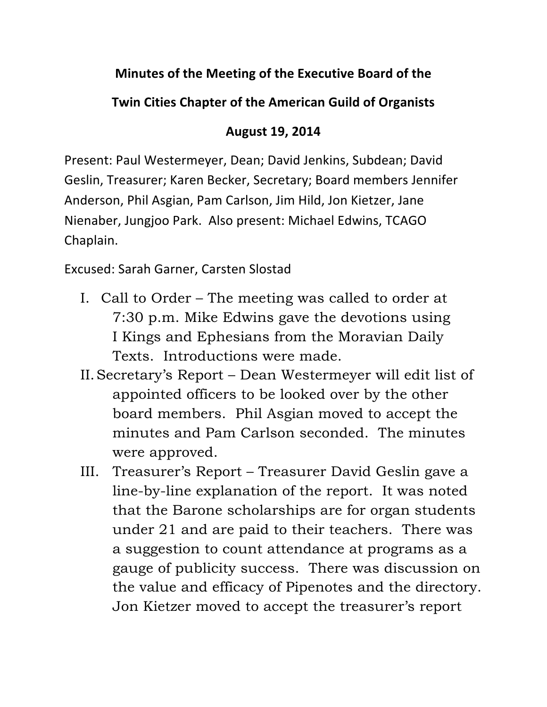## **Minutes of the Meeting of the Executive Board of the**

## **Twin Cities Chapter of the American Guild of Organists**

## **August 19, 2014**

Present: Paul Westermeyer, Dean; David Jenkins, Subdean; David Geslin, Treasurer; Karen Becker, Secretary; Board members Jennifer Anderson, Phil Asgian, Pam Carlson, Jim Hild, Jon Kietzer, Jane Nienaber, Jungjoo Park. Also present: Michael Edwins, TCAGO Chaplain.

Excused: Sarah Garner, Carsten Slostad

- I. Call to Order The meeting was called to order at 7:30 p.m. Mike Edwins gave the devotions using I Kings and Ephesians from the Moravian Daily Texts. Introductions were made.
- II.Secretary's Report Dean Westermeyer will edit list of appointed officers to be looked over by the other board members. Phil Asgian moved to accept the minutes and Pam Carlson seconded. The minutes were approved.
- III. Treasurer's Report Treasurer David Geslin gave a line-by-line explanation of the report. It was noted that the Barone scholarships are for organ students under 21 and are paid to their teachers. There was a suggestion to count attendance at programs as a gauge of publicity success. There was discussion on the value and efficacy of Pipenotes and the directory. Jon Kietzer moved to accept the treasurer's report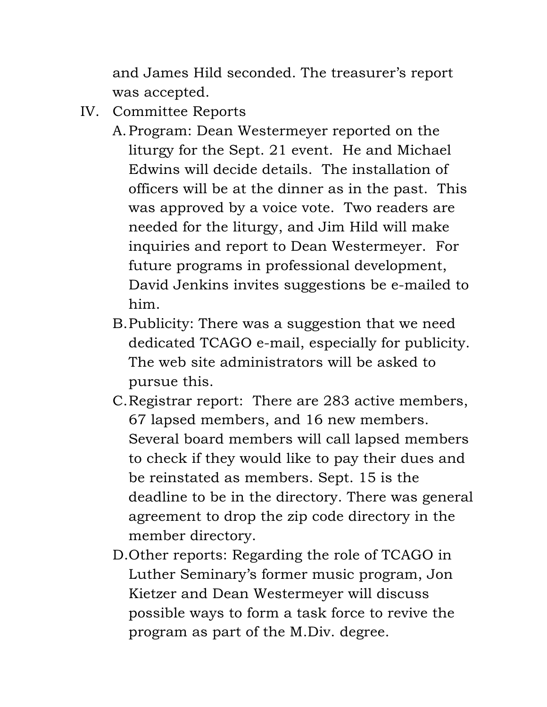and James Hild seconded. The treasurer's report was accepted.

- IV. Committee Reports
	- A.Program: Dean Westermeyer reported on the liturgy for the Sept. 21 event. He and Michael Edwins will decide details. The installation of officers will be at the dinner as in the past. This was approved by a voice vote. Two readers are needed for the liturgy, and Jim Hild will make inquiries and report to Dean Westermeyer. For future programs in professional development, David Jenkins invites suggestions be e-mailed to him.
	- B.Publicity: There was a suggestion that we need dedicated TCAGO e-mail, especially for publicity. The web site administrators will be asked to pursue this.
	- C.Registrar report: There are 283 active members, 67 lapsed members, and 16 new members. Several board members will call lapsed members to check if they would like to pay their dues and be reinstated as members. Sept. 15 is the deadline to be in the directory. There was general agreement to drop the zip code directory in the member directory.
	- D.Other reports: Regarding the role of TCAGO in Luther Seminary's former music program, Jon Kietzer and Dean Westermeyer will discuss possible ways to form a task force to revive the program as part of the M.Div. degree.